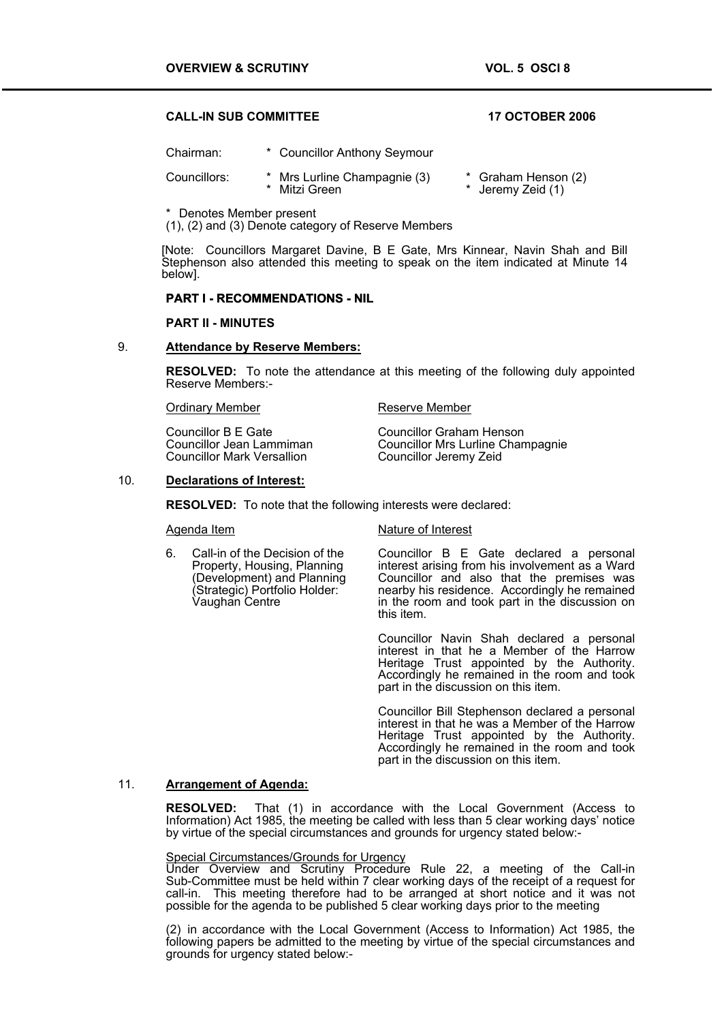# **CALL-IN SUB COMMITTEE 17 OCTOBER 2006**

| Chairman:    | * Councillor Anthony Seymour                  |                                          |
|--------------|-----------------------------------------------|------------------------------------------|
| Councillors: | * Mrs Lurline Champagnie (3)<br>* Mitzi Green | * Graham Henson (2)<br>* Jeremy Zeid (1) |

\* Denotes Member present

(1), (2) and (3) Denote category of Reserve Members

[Note: Councillors Margaret Davine, B E Gate, Mrs Kinnear, Navin Shah and Bill Stephenson also attended this meeting to speak on the item indicated at Minute 14 below].

### **PART I - RECOMMENDATIONS - NIL**

### **PART II - MINUTES**

### 9. **Attendance by Reserve Members:**

**RESOLVED:** To note the attendance at this meeting of the following duly appointed Reserve Members:-

Ordinary Member **Reserve Member** 

Councillor B E Gate Councillor Graham Henson<br>
Councillor Jean Lammiman Councillor Mrs Lurline Chan Councillor Mark Versallion

Councillor Mrs Lurline Champagnie<br>Councillor Jeremy Zeid

### 10. **Declarations of Interest:**

**RESOLVED:** To note that the following interests were declared:

6. Call-in of the Decision of the Property, Housing, Planning (Development) and Planning (Strategic) Portfolio Holder: Vaughan Centre

Agenda Item Nature of Interest

Councillor B E Gate declared a personal interest arising from his involvement as a Ward Councillor and also that the premises was nearby his residence. Accordingly he remained in the room and took part in the discussion on this item.

Councillor Navin Shah declared a personal interest in that he a Member of the Harrow Heritage Trust appointed by the Authority. Accordingly he remained in the room and took part in the discussion on this item.

Councillor Bill Stephenson declared a personal interest in that he was a Member of the Harrow Heritage Trust appointed by the Authority. Accordingly he remained in the room and took part in the discussion on this item.

## 11. **Arrangement of Agenda:**

**RESOLVED:** That (1) in accordance with the Local Government (Access to Information) Act 1985, the meeting be called with less than 5 clear working days' notice by virtue of the special circumstances and grounds for urgency stated below:-

# Special Circumstances/Grounds for Urgency

Under Overview and Scrutiny Procedure Rule 22, a meeting of the Call-in Sub-Committee must be held within 7 clear working days of the receipt of a request for call-in. This meeting therefore had to be arranged at short notice and it was not possible for the agenda to be published 5 clear working days prior to the meeting

(2) in accordance with the Local Government (Access to Information) Act 1985, the following papers be admitted to the meeting by virtue of the special circumstances and grounds for urgency stated below:-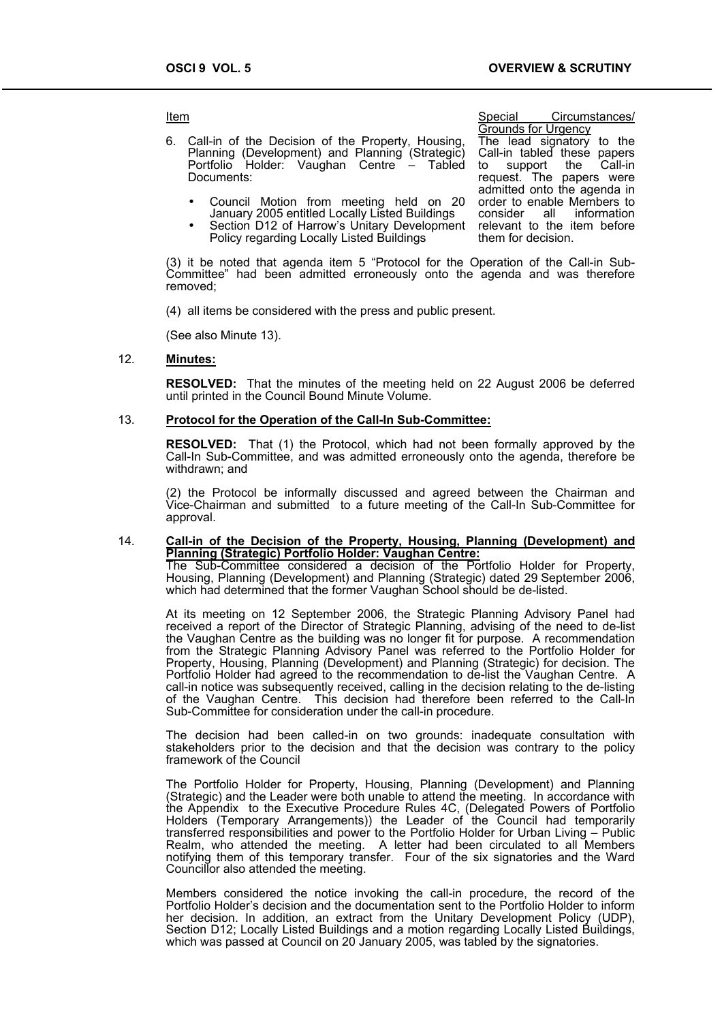Item **International Circumstances**/ **Item**Special Circumstances/

6. Call-in of the Decision of the Property, Housing, Planning (Development) and Planning (Strategic) Portfolio Holder: Vaughan Centre  $-$ Documents:

- Council Motion from meeting held on 20 January 2005 entitled Locally Listed Buildings
- Section D12 of Harrow's Unitary Development Policy regarding Locally Listed Buildings

Grounds for Urgency The lead signatory to the Call-in tabled these papers<br>to support the Call-in to support the request. The papers were admitted onto the agenda in order to enable Members to consider all information relevant to the item before them for decision.

(3) it be noted that agenda item 5 "Protocol for the Operation of the Call-in Sub-Committee" had been admitted erroneously onto the agenda and was therefore removed;

(4) all items be considered with the press and public present.

(See also Minute 13).

# 12. **Minutes:**

**RESOLVED:** That the minutes of the meeting held on 22 August 2006 be deferred until printed in the Council Bound Minute Volume.

### 13. **Protocol for the Operation of the Call-In Sub-Committee:**

**RESOLVED:** That (1) the Protocol, which had not been formally approved by the Call-In Sub-Committee, and was admitted erroneously onto the agenda, therefore be withdrawn; and

(2) the Protocol be informally discussed and agreed between the Chairman and Vice-Chairman and submitted to a future meeting of the Call-In Sub-Committee for approval.

# 14. **Call-in of the Decision of the Property, Housing, Planning (Development) and**

**Planning (Strategic) Portfolio Holder: Vaughan Centre:** The Sub-Committee considered a decision of the Portfolio Holder for Property, Housing, Planning (Development) and Planning (Strategic) dated 29 September 2006, which had determined that the former Vaughan School should be de-listed.

At its meeting on 12 September 2006, the Strategic Planning Advisory Panel had received a report of the Director of Strategic Planning, advising of the need to de-list the Vaughan Centre as the building was no longer fit for purpose. A recommendation from the Strategic Planning Advisory Panel was referred to the Portfolio Holder for Property, Housing, Planning (Development) and Planning (Strategic) for decision. The Portfolio Holder had agreed to the recommendation to de-list the Vaughan Centre. A call-in notice was subsequently received, calling in the decision relating to the de-listing of the Vaughan Centre. This decision had therefore been referred to the Call-In Sub-Committee for consideration under the call-in procedure.

The decision had been called-in on two grounds: inadequate consultation with stakeholders prior to the decision and that the decision was contrary to the policy framework of the Council

The Portfolio Holder for Property, Housing, Planning (Development) and Planning (Strategic) and the Leader were both unable to attend the meeting. In accordance with the Appendix to the Executive Procedure Rules 4C, (Delegated Powers of Portfolio Holders (Temporary Arrangements)) the Leader of the Council had temporarily transferred responsibilities and power to the Portfolio Holder for Urban Living – Public Realm, who attended the meeting. A letter had been circulated to all Members notifying them of this temporary transfer. Four of the six signatories and the Ward Councillor also attended the meeting.

Members considered the notice invoking the call-in procedure, the record of the Portfolio Holder's decision and the documentation sent to the Portfolio Holder to inform her decision. In addition, an extract from the Unitary Development Policy (UDP), Section D12; Locally Listed Buildings and a motion regarding Locally Listed Buildings, which was passed at Council on 20 January 2005, was tabled by the signatories.